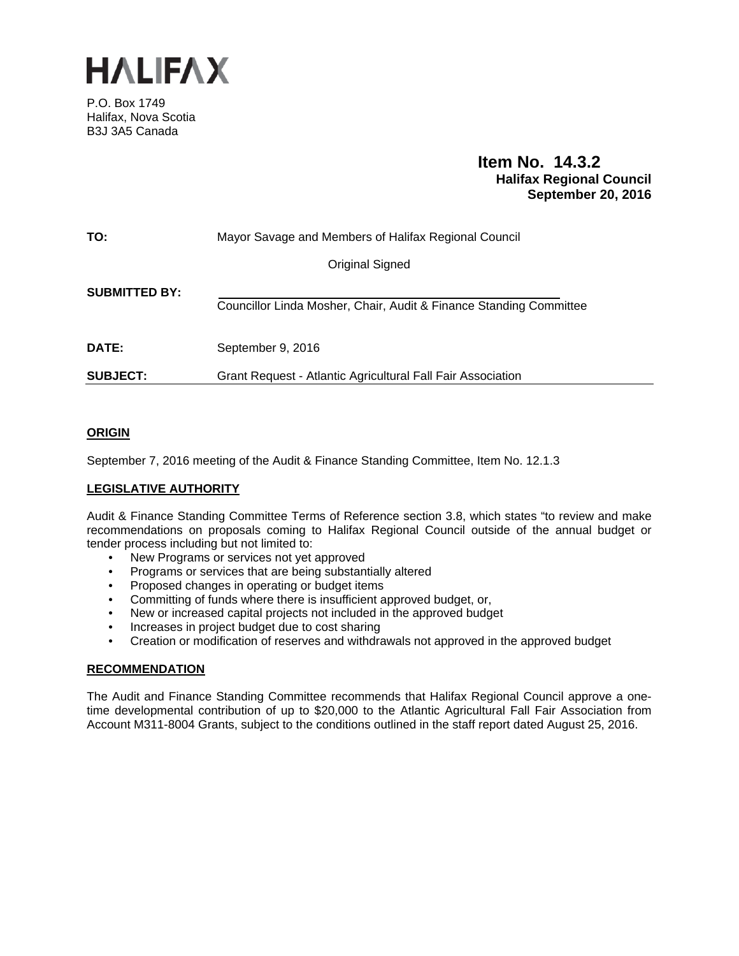

P.O. Box 1749 Halifax, Nova Scotia B3J 3A5 Canada

# **Item No. 14.3.2 Halifax Regional Council September 20, 2016**

| TO:                  | Mayor Savage and Members of Halifax Regional Council               |
|----------------------|--------------------------------------------------------------------|
|                      | Original Signed                                                    |
| <b>SUBMITTED BY:</b> | Councillor Linda Mosher, Chair, Audit & Finance Standing Committee |
| <b>DATE:</b>         | September 9, 2016                                                  |
| <b>SUBJECT:</b>      | Grant Request - Atlantic Agricultural Fall Fair Association        |

## **ORIGIN**

September 7, 2016 meeting of the Audit & Finance Standing Committee, Item No. 12.1.3

## **LEGISLATIVE AUTHORITY**

Audit & Finance Standing Committee Terms of Reference section 3.8, which states "to review and make recommendations on proposals coming to Halifax Regional Council outside of the annual budget or tender process including but not limited to:

- New Programs or services not yet approved
- Programs or services that are being substantially altered
- Proposed changes in operating or budget items
- Committing of funds where there is insufficient approved budget, or,
- New or increased capital projects not included in the approved budget
- Increases in project budget due to cost sharing
- Creation or modification of reserves and withdrawals not approved in the approved budget

## **RECOMMENDATION**

The Audit and Finance Standing Committee recommends that Halifax Regional Council approve a onetime developmental contribution of up to \$20,000 to the Atlantic Agricultural Fall Fair Association from Account M311-8004 Grants, subject to the conditions outlined in the staff report dated August 25, 2016.